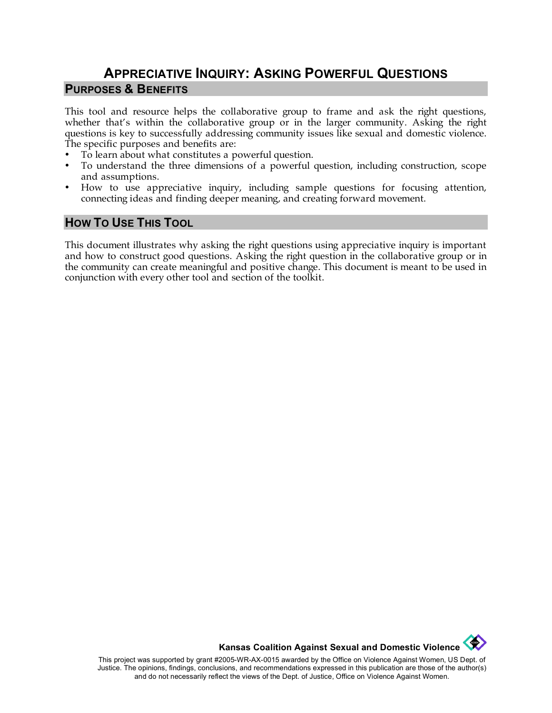# **APPRECIATIVE INQUIRY: ASKING POWERFUL QUESTIONS PURPOSES & BENEFITS**

This tool and resource helps the collaborative group to frame and ask the right questions, whether that's within the collaborative group or in the larger community. Asking the right questions is key to successfully addressing community issues like sexual and domestic violence. The specific purposes and benefits are:

- To learn about what constitutes a powerful question.
- To understand the three dimensions of a powerful question, including construction, scope and assumptions.
- How to use appreciative inquiry, including sample questions for focusing attention, connecting ideas and finding deeper meaning, and creating forward movement.

### **HOW TO USE THIS TOOL**

This document illustrates why asking the right questions using appreciative inquiry is important and how to construct good questions. Asking the right question in the collaborative group or in the community can create meaningful and positive change. This document is meant to be used in conjunction with every other tool and section of the toolkit.



This project was supported by grant #2005-WR-AX-0015 awarded by the Office on Violence Against Women, US Dept. of Justice. The opinions, findings, conclusions, and recommendations expressed in this publication are those of the author(s) and do not necessarily reflect the views of the Dept. of Justice, Office on Violence Against Women.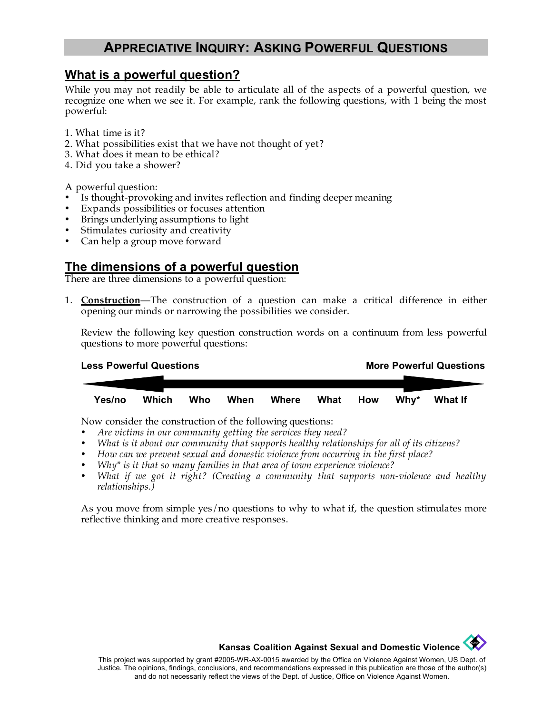## **APPRECIATIVE INQUIRY: ASKING POWERFUL QUESTIONS**

### **What is a powerful question?**

While you may not readily be able to articulate all of the aspects of a powerful question, we recognize one when we see it. For example, rank the following questions, with 1 being the most powerful:

- 1. What time is it?
- 2. What possibilities exist that we have not thought of yet?
- 3. What does it mean to be ethical?
- 4. Did you take a shower?

A powerful question:

- Is thought-provoking and invites reflection and finding deeper meaning
- Expands possibilities or focuses attention
- Brings underlying assumptions to light
- Stimulates curiosity and creativity
- Can help a group move forward

### **The dimensions of a powerful question**

There are three dimensions to a powerful question:

1. **Construction**—The construction of a question can make a critical difference in either opening our minds or narrowing the possibilities we consider.

Review the following key question construction words on a continuum from less powerful questions to more powerful questions:

| <b>Less Powerful Questions</b> |       |     |      |       |      | <b>More Powerful Questions</b> |                  |                |  |  |
|--------------------------------|-------|-----|------|-------|------|--------------------------------|------------------|----------------|--|--|
|                                |       |     |      |       |      |                                |                  |                |  |  |
|                                |       |     |      |       |      |                                |                  |                |  |  |
| Yes/no                         | Which | Who | When | Where | What | How                            | Whv <sup>*</sup> | <b>What If</b> |  |  |

Now consider the construction of the following questions:

- *Are victims in our community getting the services they need?*
- *What is it about our community that supports healthy relationships for all of its citizens?*
- *How can we prevent sexual and domestic violence from occurring in the first place?*
- *Why\* is it that so many families in that area of town experience violence?*
- *What if we got it right? (Creating a community that supports non-violence and healthy relationships.)*

As you move from simple yes/no questions to why to what if, the question stimulates more reflective thinking and more creative responses.



**Kansas Coalition Against Sexual and Domestic Violence**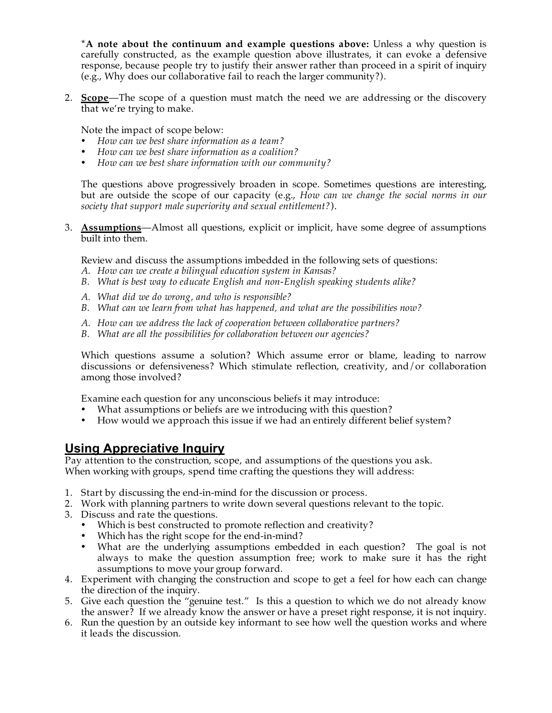**\*A note about the continuum and example questions above:** Unless a why question is carefully constructed, as the example question above illustrates, it can evoke a defensive response, because people try to justify their answer rather than proceed in a spirit of inquiry (e.g., Why does our collaborative fail to reach the larger community?).

2. **Scope**—The scope of a question must match the need we are addressing or the discovery that we're trying to make.

Note the impact of scope below:

- *How can we best share information as a team?*
- *How can we best share information as a coalition?*
- *How can we best share information with our community?*

The questions above progressively broaden in scope. Sometimes questions are interesting, but are outside the scope of our capacity (e.g., *How can we change the social norms in our society that support male superiority and sexual entitlement?*).

3. **Assumptions**—Almost all questions, explicit or implicit, have some degree of assumptions built into them.

Review and discuss the assumptions imbedded in the following sets of questions:

- *A. How can we create a bilingual education system in Kansas?*
- *B. What is best way to educate English and non-English speaking students alike?*
- *A. What did we do wrong, and who is responsible?*
- *B. What can we learn from what has happened, and what are the possibilities now?*
- *A. How can we address the lack of cooperation between collaborative partners?*
- *B. What are all the possibilities for collaboration between our agencies?*

Which questions assume a solution? Which assume error or blame, leading to narrow discussions or defensiveness? Which stimulate reflection, creativity, and/or collaboration among those involved?

Examine each question for any unconscious beliefs it may introduce:

- What assumptions or beliefs are we introducing with this question?
- How would we approach this issue if we had an entirely different belief system?

### **Using Appreciative Inquiry**

Pay attention to the construction, scope, and assumptions of the questions you ask. When working with groups, spend time crafting the questions they will address:

- 1. Start by discussing the end-in-mind for the discussion or process.
- 2. Work with planning partners to write down several questions relevant to the topic.
- 3. Discuss and rate the questions.
	- Which is best constructed to promote reflection and creativity?
	- Which has the right scope for the end-in-mind?
	- What are the underlying assumptions embedded in each question? The goal is not always to make the question assumption free; work to make sure it has the right assumptions to move your group forward.
- 4. Experiment with changing the construction and scope to get a feel for how each can change the direction of the inquiry.
- 5. Give each question the "genuine test." Is this a question to which we do not already know the answer? If we already know the answer or have a preset right response, it is not inquiry.
- 6. Run the question by an outside key informant to see how well the question works and where it leads the discussion.